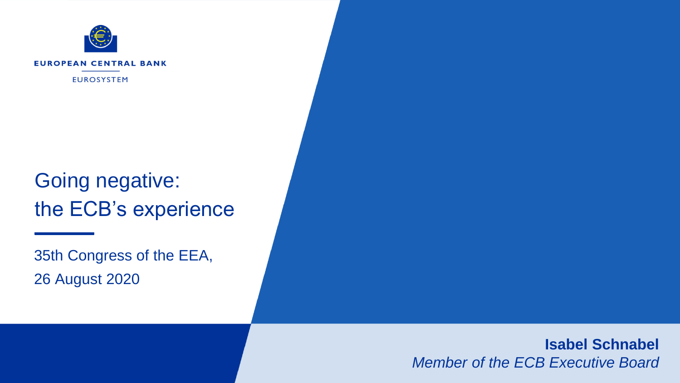

# Going negative: the ECB's experience

35th Congress of the EEA, 26 August 2020

> **Isabel Schnabel** *Member of the ECB Executive Board*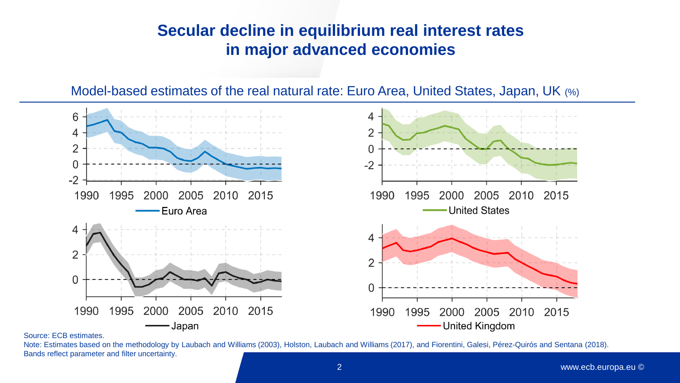## **Secular decline in equilibrium real interest rates in major advanced economies**

Model-based estimates of the real natural rate: Euro Area, United States, Japan, UK (%)



Source: ECB estimates.

Note: Estimates based on the methodology by Laubach and Williams (2003), Holston, Laubach and Williams (2017), and Fiorentini, Galesi, Pérez-Quirós and Sentana (2018). Bands reflect parameter and filter uncertainty.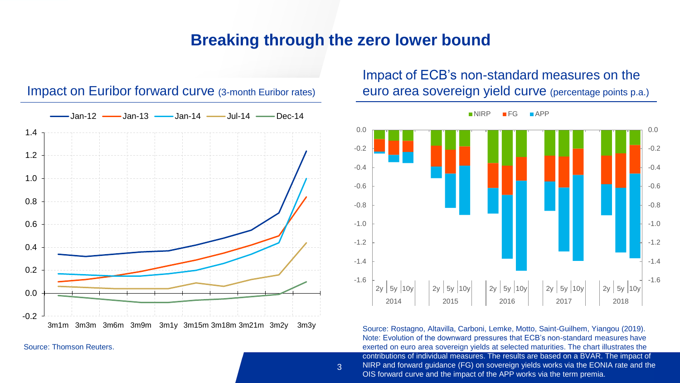#### **Breaking through the zero lower bound**



#### Impact on Euribor forward curve (3-month Euribor rates)

Source: Thomson Reuters.

Impact of ECB's non-standard measures on the euro area sovereign yield curve (percentage points p.a.)



3 NIRP and forward guidance (FG) on sovereign yields works via the EONIA rate and the Source: Rostagno, Altavilla, Carboni, Lemke, Motto, Saint-Guilhem, Yiangou (2019). Note: Evolution of the downward pressures that ECB's non-standard measures have exerted on euro area sovereign yields at selected maturities. The chart illustrates the contributions of individual measures. The results are based on a BVAR. The impact of OIS forward curve and the impact of the APP works via the term premia.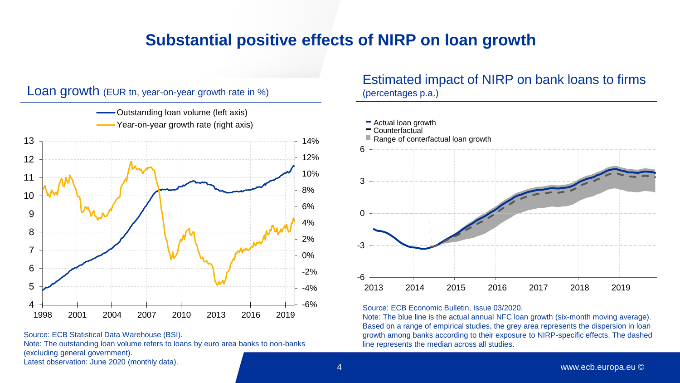### **Substantial positive effects of NIRP on loan growth**



Source: ECB Statistical Data Warehouse (BSI).

Note: The outstanding loan volume refers to loans by euro area banks to non-banks (excluding general government).

Latest observation: June 2020 (monthly data).

#### Estimated impact of NIRP on bank loans to firms (percentages p.a.)



#### Source: ECB Economic Bulletin, Issue 03/2020.

Note: The blue line is the actual annual NFC loan growth (six-month moving average). Based on a range of empirical studies, the grey area represents the dispersion in loan growth among banks according to their exposure to NIRP-specific effects. The dashed line represents the median across all studies.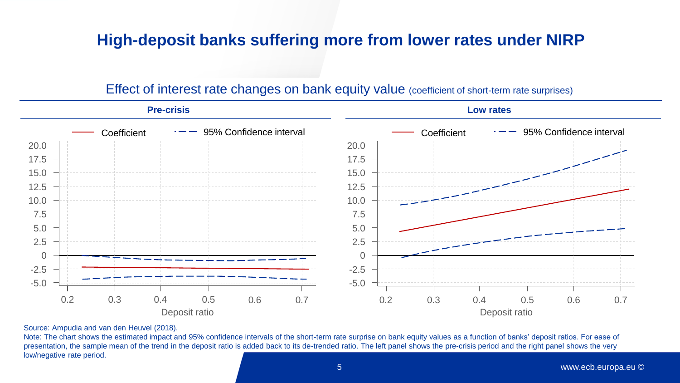### **High-deposit banks suffering more from lower rates under NIRP**

#### 0.2 0.3 0.4 0.5 0.6 Deposit ratio -5.0 -2.5  $\Omega$ 2.5 5.0 7.5 10.0 12.5 15.0 17.5 20.0 **Pre-crisis Coefficient** 0.7 0.2 0.3 0.4 0.5 0.6 Deposit ratio 0.7 -5.0 -2.5  $\Omega$ 2.5 5.0 7.5 10.0 12.5 15.0 17.5 20.0 **Low rates** 95% Confidence interval **Coefficient**  $\rightarrow$  Coefficient  $\rightarrow$  95% Confidence interval

#### Effect of interest rate changes on bank equity value (coefficient of short-term rate surprises)

Source: Ampudia and van den Heuvel (2018).

Note: The chart shows the estimated impact and 95% confidence intervals of the short-term rate surprise on bank equity values as a function of banks' deposit ratios. For ease of presentation, the sample mean of the trend in the deposit ratio is added back to its de-trended ratio. The left panel shows the pre-crisis period and the right panel shows the very low/negative rate period.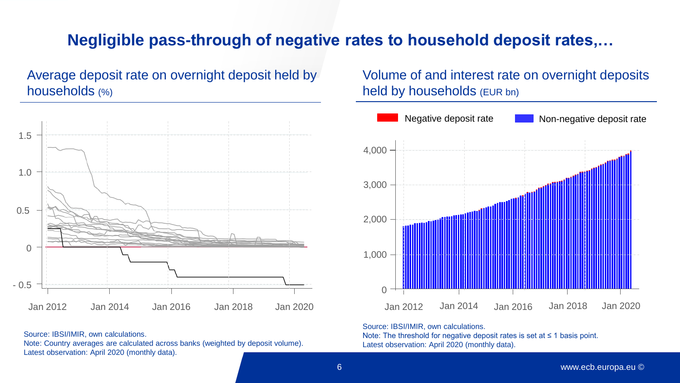## **Negligible pass-through of negative rates to household deposit rates,…**

Average deposit rate on overnight deposit held by households (%)



Source: IBSI/IMIR, own calculations.

Note: Country averages are calculated across banks (weighted by deposit volume). Latest observation: April 2020 (monthly data).

Volume of and interest rate on overnight deposits held by households (EUR bn)



Source: IBSI/IMIR, own calculations.

Note: The threshold for negative deposit rates is set at ≤ 1 basis point. Latest observation: April 2020 (monthly data).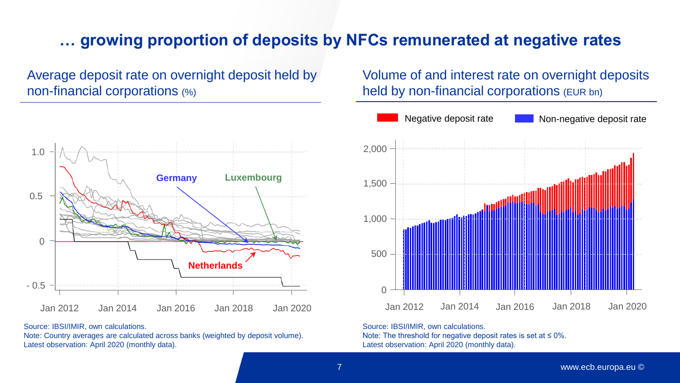## **… growing proportion of deposits by NFCs remunerated at negative rates**

Average deposit rate on overnight deposit held by non-financial corporations (%)



Source: IBSI/IMIR, own calculations.

Note: Country averages are calculated across banks (weighted by deposit volume). Latest observation: April 2020 (monthly data).

Volume of and interest rate on overnight deposits held by non-financial corporations (EUR bn)



Source: IBSI/IMIR, own calculations. Note: The threshold for negative deposit rates is set at ≤ 0%. Latest observation: April 2020 (monthly data).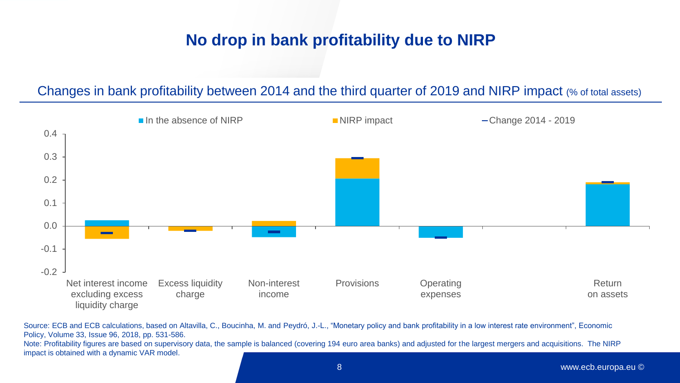## **No drop in bank profitability due to NIRP**

#### Changes in bank profitability between 2014 and the third quarter of 2019 and NIRP impact (% of total assets)



Source: ECB and ECB calculations, based on Altavilla, C., Boucinha, M. and Peydró, J.-L., "Monetary policy and bank profitability in a low interest rate environment", Economic Policy, Volume 33, Issue 96, 2018, pp. 531-586.

Note: Profitability figures are based on supervisory data, the sample is balanced (covering 194 euro area banks) and adjusted for the largest mergers and acquisitions. The NIRP impact is obtained with a dynamic VAR model.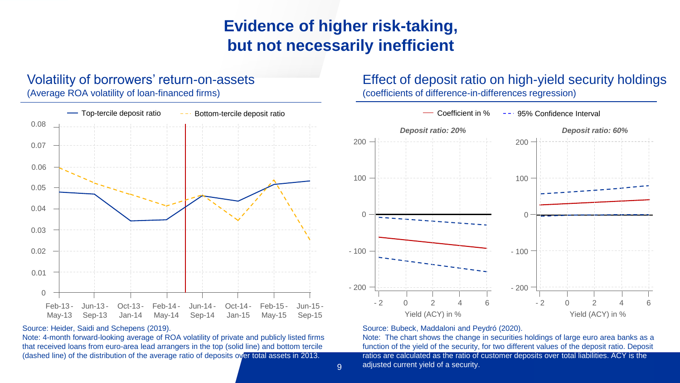## **Evidence of higher risk-taking, but not necessarily inefficient**

#### Volatility of borrowers' return-on-assets

(Average ROA volatility of loan-financed firms)



#### Source: Heider, Saidi and Schepens (2019).

Note: 4-month forward-looking average of ROA volatility of private and publicly listed firms that received loans from euro-area lead arrangers in the top (solid line) and bottom tercile (dashed line) of the distribution of the average ratio of deposits over total assets in 2013.

#### Effect of deposit ratio on high-yield security holdings

(coefficients of difference-in-differences regression)



#### Source: Bubeck, Maddaloni and Peydró (2020).

get adjusted current yield of a security. The energy of a security of a security of  $\mathbb{R}^n$ Note: The chart shows the change in securities holdings of large euro area banks as a function of the yield of the security, for two different values of the deposit ratio. Deposit ratios are calculated as the ratio of customer deposits over total liabilities. ACY is the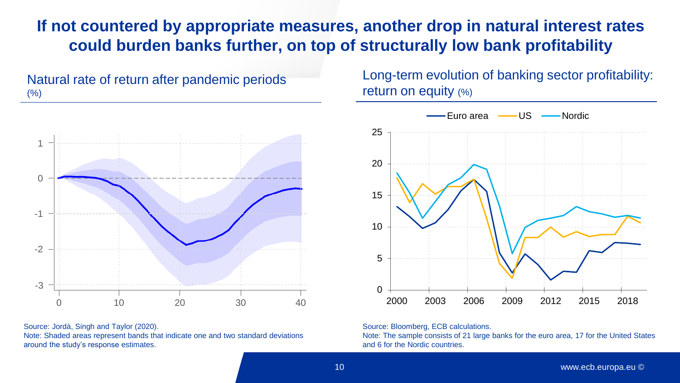### **If not countered by appropriate measures, another drop in natural interest rates could burden banks further, on top of structurally low bank profitability**





Source: Jordà, Singh and Taylor (2020). Note: Shaded areas represent bands that indicate one and two standard deviations around the study's response estimates.

Long-term evolution of banking sector profitability: return on equity (%)



Source: Bloomberg, ECB calculations.

Note: The sample consists of 21 large banks for the euro area, 17 for the United States and 6 for the Nordic countries.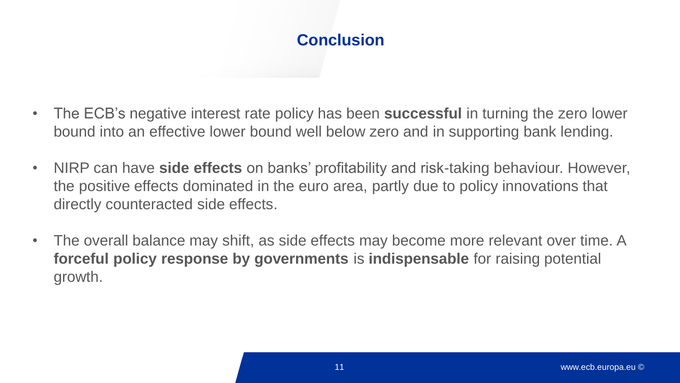## **Conclusion**

- The ECB's negative interest rate policy has been **successful** in turning the zero lower bound into an effective lower bound well below zero and in supporting bank lending.
- NIRP can have **side effects** on banks' profitability and risk-taking behaviour. However, the positive effects dominated in the euro area, partly due to policy innovations that directly counteracted side effects.
- The overall balance may shift, as side effects may become more relevant over time. A **forceful policy response by governments** is **indispensable** for raising potential growth.